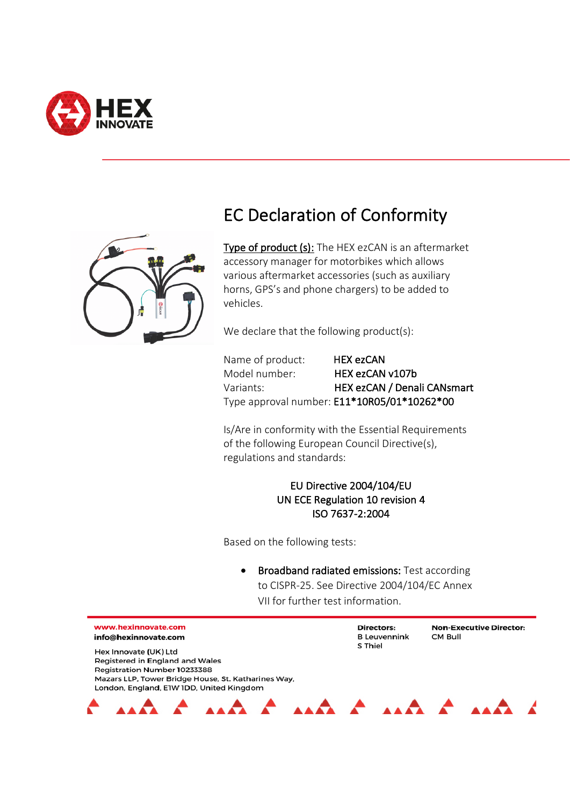



## EC Declaration of Conformity

Type of product (s): The HEX ezCAN is an aftermarket accessory manager for motorbikes which allows various aftermarket accessories (such as auxiliary horns, GPS's and phone chargers) to be added to vehicles.

We declare that the following product(s):

| Name of product: | <b>HEX ezCAN</b>                            |
|------------------|---------------------------------------------|
| Model number:    | HEX ezCAN v107b                             |
| Variants:        | HEX ezCAN / Denali CANsmart                 |
|                  | Type approval number: E11*10R05/01*10262*00 |

Is/Are in conformity with the Essential Requirements of the following European Council Directive(s), regulations and standards:

## EU Directive 2004/104/EU UN ECE Regulation 10 revision 4 ISO 7637-2:2004

Based on the following tests:

• Broadband radiated emissions: Test according to CISPR-25. See Directive 2004/104/EC Annex VII for further test information.

Directors:

S Thiel

**B** Leuvennink

Non-Executive Director:

CM Bull

www.hexinnovate.com info@hexinnovate.com

Hex Innovate (UK) Ltd

Registered in England and Wales Registration Number 10233388 Mazars LLP, Tower Bridge House, St. Katharines Way, London, England, E1W 1DD, United Kingdom